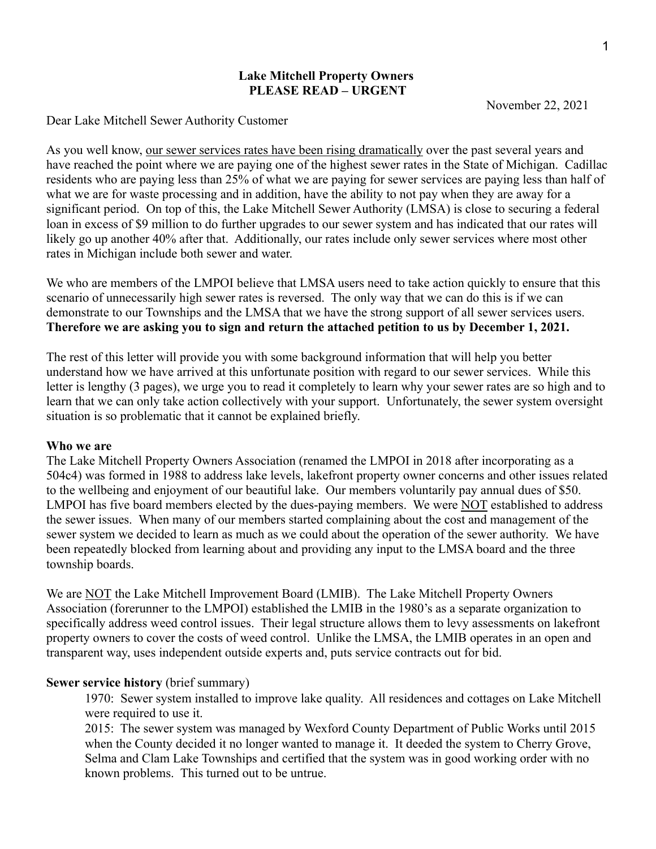### **Lake Mitchell Property Owners PLEASE READ – URGENT**

November 22, 2021

Dear Lake Mitchell Sewer Authority Customer

As you well know, our sewer services rates have been rising dramatically over the past several years and have reached the point where we are paying one of the highest sewer rates in the State of Michigan. Cadillac residents who are paying less than 25% of what we are paying for sewer services are paying less than half of what we are for waste processing and in addition, have the ability to not pay when they are away for a significant period. On top of this, the Lake Mitchell Sewer Authority (LMSA) is close to securing a federal loan in excess of \$9 million to do further upgrades to our sewer system and has indicated that our rates will likely go up another 40% after that. Additionally, our rates include only sewer services where most other rates in Michigan include both sewer and water.

We who are members of the LMPOI believe that LMSA users need to take action quickly to ensure that this scenario of unnecessarily high sewer rates is reversed. The only way that we can do this is if we can demonstrate to our Townships and the LMSA that we have the strong support of all sewer services users. **Therefore we are asking you to sign and return the attached petition to us by December 1, 2021.** The rest of this letter will provide you with some background information that will help you better

understand how we have arrived at this unfortunate position with regard to our sewer services. While this letter is lengthy (3 pages), we urge you to read it completely to learn why your sewer rates are so high and to learn that we can only take action collectively with your support. Unfortunately, the sewer system oversight situation is so problematic that it cannot be explained briefly.

## **Who we are**

The Lake Mitchell Property Owners Association (renamed the LMPOI in 2018 after incorporating as a 504c4) was formed in 1988 to address lake levels, lakefront property owner concerns and other issues related to the wellbeing and enjoyment of our beautiful lake. Our members voluntarily pay annual dues of \$50. LMPOI has five board members elected by the dues-paying members. We were NOT established to address the sewer issues. When many of our members started complaining about the cost and management of the sewer system we decided to learn as much as we could about the operation of the sewer authority. We have been repeatedly blocked from learning about and providing any input to the LMSA board and the three township boards.

We are NOT the Lake Mitchell Improvement Board (LMIB). The Lake Mitchell Property Owners Association (forerunner to the LMPOI) established the LMIB in the 1980's as a separate organization to specifically address weed control issues. Their legal structure allows them to levy assessments on lakefront property owners to cover the costs of weed control. Unlike the LMSA, the LMIB operates in an open and transparent way, uses independent outside experts and, puts service contracts out for bid.

## **Sewer service history** (brief summary)

1970: Sewer system installed to improve lake quality. All residences and cottages on Lake Mitchell were required to use it.

2015: The sewer system was managed by Wexford County Department of Public Works until 2015 when the County decided it no longer wanted to manage it. It deeded the system to Cherry Grove, Selma and Clam Lake Townships and certified that the system was in good working order with no known problems. This turned out to be untrue.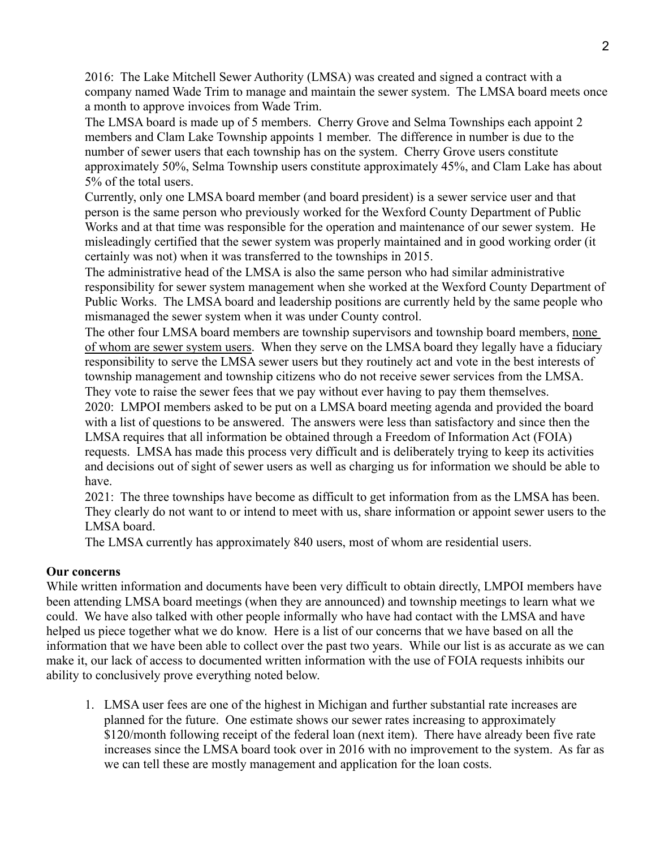2016: The Lake Mitchell Sewer Authority (LMSA) was created and signed a contract with a company named Wade Trim to manage and maintain the sewer system. The LMSA board meets once a month to approve invoices from Wade Trim.

The LMSA board is made up of 5 members. Cherry Grove and Selma Townships each appoint 2 members and Clam Lake Township appoints 1 member. The difference in number is due to the number of sewer users that each township has on the system. Cherry Grove users constitute approximately 50%, Selma Township users constitute approximately 45%, and Clam Lake has about 5% of the total users.

Currently, only one LMSA board member (and board president) is a sewer service user and that person is the same person who previously worked for the Wexford County Department of Public Works and at that time was responsible for the operation and maintenance of our sewer system. He misleadingly certified that the sewer system was properly maintained and in good working order (it certainly was not) when it was transferred to the townships in 2015.

The administrative head of the LMSA is also the same person who had similar administrative responsibility for sewer system management when she worked at the Wexford County Department of Public Works. The LMSA board and leadership positions are currently held by the same people who mismanaged the sewer system when it was under County control.

The other four LMSA board members are township supervisors and township board members, none of whom are sewer system users. When they serve on the LMSA board they legally have a fiduciary responsibility to serve the LMSA sewer users but they routinely act and vote in the best interests of township management and township citizens who do not receive sewer services from the LMSA. They vote to raise the sewer fees that we pay without ever having to pay them themselves.

2020: LMPOI members asked to be put on a LMSA board meeting agenda and provided the board with a list of questions to be answered. The answers were less than satisfactory and since then the LMSA requires that all information be obtained through a Freedom of Information Act (FOIA) requests. LMSA has made this process very difficult and is deliberately trying to keep its activities and decisions out of sight of sewer users as well as charging us for information we should be able to have.

2021: The three townships have become as difficult to get information from as the LMSA has been. They clearly do not want to or intend to meet with us, share information or appoint sewer users to the LMSA board.

The LMSA currently has approximately 840 users, most of whom are residential users.

# **Our concerns**

While written information and documents have been very difficult to obtain directly, LMPOI members have been attending LMSA board meetings (when they are announced) and township meetings to learn what we could. We have also talked with other people informally who have had contact with the LMSA and have helped us piece together what we do know. Here is a list of our concerns that we have based on all the information that we have been able to collect over the past two years. While our list is as accurate as we can make it, our lack of access to documented written information with the use of FOIA requests inhibits our ability to conclusively prove everything noted below.

1. LMSA user fees are one of the highest in Michigan and further substantial rate increases are planned for the future. One estimate shows our sewer rates increasing to approximately \$120/month following receipt of the federal loan (next item). There have already been five rate increases since the LMSA board took over in 2016 with no improvement to the system. As far as we can tell these are mostly management and application for the loan costs.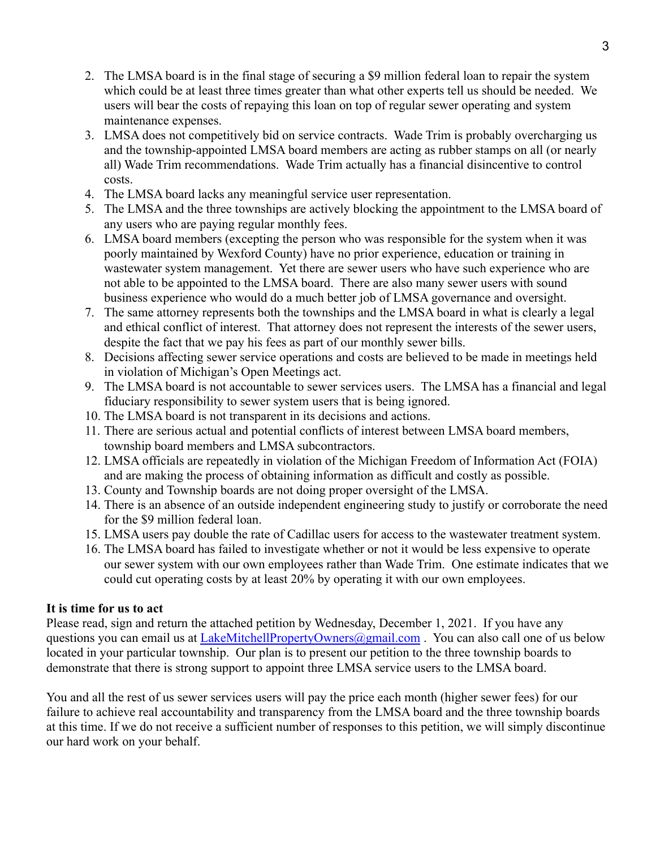- 2. The LMSA board is in the final stage of securing a \$9 million federal loan to repair the system which could be at least three times greater than what other experts tell us should be needed. We users will bear the costs of repaying this loan on top of regular sewer operating and system maintenance expenses.
- 3. LMSA does not competitively bid on service contracts. Wade Trim is probably overcharging us and the township-appointed LMSA board members are acting as rubber stamps on all (or nearly all) Wade Trim recommendations. Wade Trim actually has a financial disincentive to control costs.
- 4. The LMSA board lacks any meaningful service user representation.
- 5. The LMSA and the three townships are actively blocking the appointment to the LMSA board of any users who are paying regular monthly fees.
- 6. LMSA board members (excepting the person who was responsible for the system when it was poorly maintained by Wexford County) have no prior experience, education or training in wastewater system management. Yet there are sewer users who have such experience who are not able to be appointed to the LMSA board. There are also many sewer users with sound business experience who would do a much better job of LMSA governance and oversight.
- 7. The same attorney represents both the townships and the LMSA board in what is clearly a legal and ethical conflict of interest. That attorney does not represent the interests of the sewer users, despite the fact that we pay his fees as part of our monthly sewer bills.
- 8. Decisions affecting sewer service operations and costs are believed to be made in meetings held in violation of Michigan's Open Meetings act.
- 9. The LMSA board is not accountable to sewer services users. The LMSA has a financial and legal fiduciary responsibility to sewer system users that is being ignored.
- 10. The LMSA board is not transparent in its decisions and actions.
- 11. There are serious actual and potential conflicts of interest between LMSA board members, township board members and LMSA subcontractors.
- 12. LMSA officials are repeatedly in violation of the Michigan Freedom of Information Act (FOIA) and are making the process of obtaining information as difficult and costly as possible.
- 13. County and Township boards are not doing proper oversight of the LMSA.
- 14. There is an absence of an outside independent engineering study to justify or corroborate the need for the \$9 million federal loan.
- 15. LMSA users pay double the rate of Cadillac users for access to the wastewater treatment system.
- 16. The LMSA board has failed to investigate whether or not it would be less expensive to operate our sewer system with our own employees rather than Wade Trim. One estimate indicates that we could cut operating costs by at least 20% by operating it with our own employees.

# **It is time for us to act**

Please read, sign and return the attached petition by Wednesday, December 1, 2021. If you have any questions you can email us at LakeMitchellPropertyOwners@gmail.com. You can also call one of us below located in your particular township. Our plan is to present our petition to the three township boards to demonstrate that there is strong support to appoint three LMSA service users to the LMSA board.

You and all the rest of us sewer services users will pay the price each month (higher sewer fees) for our failure to achieve real accountability and transparency from the LMSA board and the three township boards at this time. If we do not receive a sufficient number of responses to this petition, we will simply discontinue our hard work on your behalf.